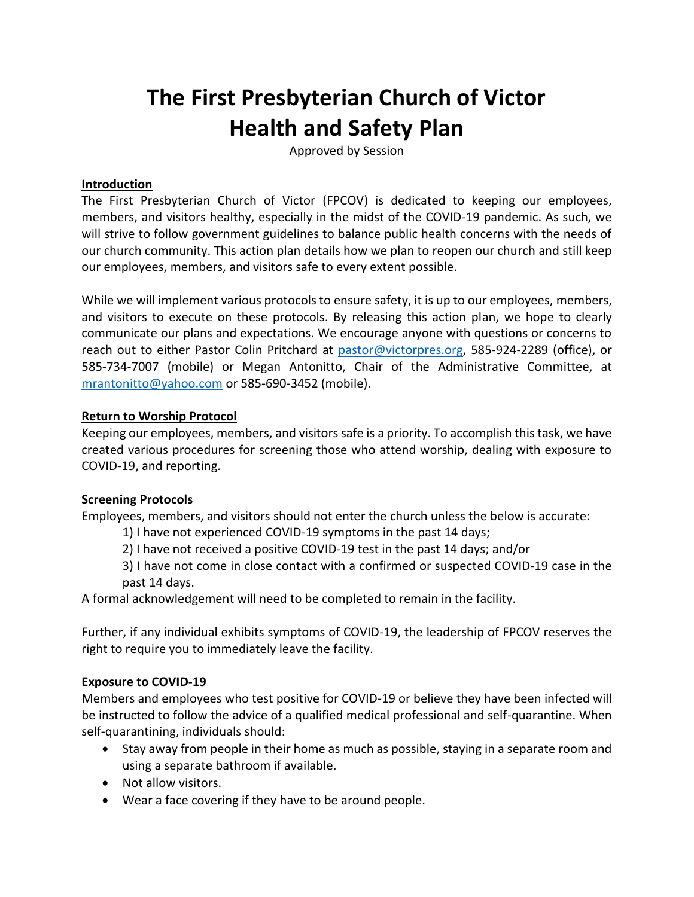# **The First Presbyterian Church of Victor Health and Safety Plan**

Approved by Session

# **Introduction**

The First Presbyterian Church of Victor (FPCOV) is dedicated to keeping our employees, members, and visitors healthy, especially in the midst of the COVID-19 pandemic. As such, we will strive to follow government guidelines to balance public health concerns with the needs of our church community. This action plan details how we plan to reopen our church and still keep our employees, members, and visitors safe to every extent possible.

While we will implement various protocols to ensure safety, it is up to our employees, members, and visitors to execute on these protocols. By releasing this action plan, we hope to clearly communicate our plans and expectations. We encourage anyone with questions or concerns to reach out to either Pastor Colin Pritchard at [pastor@victorpres.org,](mailto:pastor@victorpres.org) 585-924-2289 (office), or 585-734-7007 (mobile) or Megan Antonitto, Chair of the Administrative Committee, at [mrantonitto@yahoo.com](mailto:mrantonitto@yahoo.com) or 585-690-3452 (mobile).

#### **Return to Worship Protocol**

Keeping our employees, members, and visitors safe is a priority. To accomplish this task, we have created various procedures for screening those who attend worship, dealing with exposure to COVID-19, and reporting.

#### **Screening Protocols**

Employees, members, and visitors should not enter the church unless the below is accurate:

- 1) I have not experienced COVID-19 symptoms in the past 14 days;
- 2) I have not received a positive COVID-19 test in the past 14 days; and/or
- 3) I have not come in close contact with a confirmed or suspected COVID-19 case in the past 14 days.

A formal acknowledgement will need to be completed to remain in the facility.

Further, if any individual exhibits symptoms of COVID-19, the leadership of FPCOV reserves the right to require you to immediately leave the facility.

#### **Exposure to COVID-19**

Members and employees who test positive for COVID-19 or believe they have been infected will be instructed to follow the advice of a qualified medical professional and self-quarantine. When self-quarantining, individuals should:

- Stay away from people in their home as much as possible, staying in a separate room and using a separate bathroom if available.
- Not allow visitors.
- Wear a face covering if they have to be around people.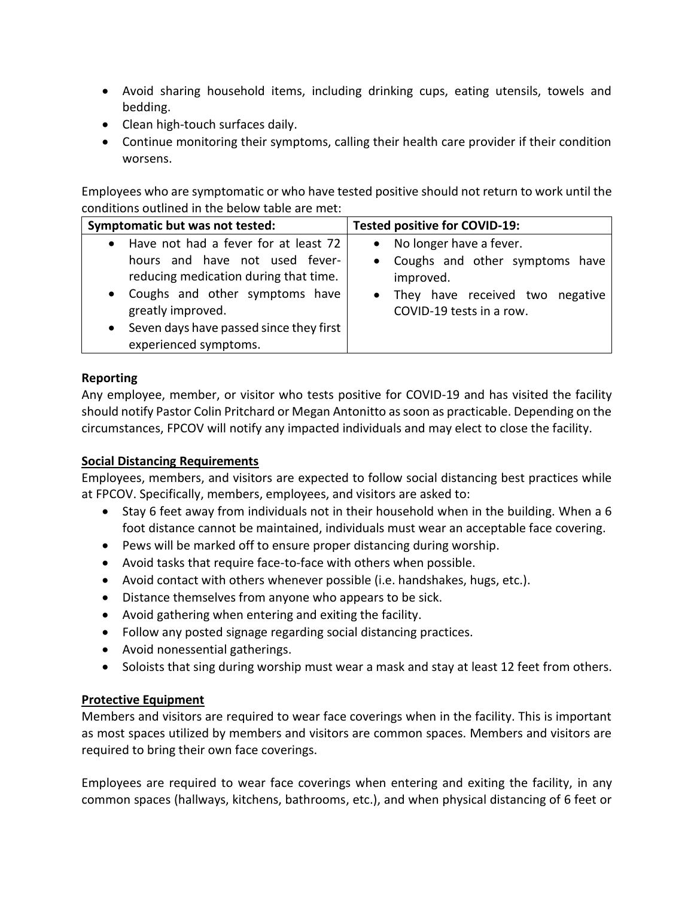- Avoid sharing household items, including drinking cups, eating utensils, towels and bedding.
- Clean high-touch surfaces daily.
- Continue monitoring their symptoms, calling their health care provider if their condition worsens.

Employees who are symptomatic or who have tested positive should not return to work until the conditions outlined in the below table are met:

| Symptomatic but was not tested:                                                                                                                                                                                                                                                   | <b>Tested positive for COVID-19:</b>                                                                                                      |
|-----------------------------------------------------------------------------------------------------------------------------------------------------------------------------------------------------------------------------------------------------------------------------------|-------------------------------------------------------------------------------------------------------------------------------------------|
| Have not had a fever for at least 72<br>$\bullet$<br>hours and have not used fever-<br>reducing medication during that time.<br>Coughs and other symptoms have<br>$\bullet$<br>greatly improved.<br>Seven days have passed since they first<br>$\bullet$<br>experienced symptoms. | • No longer have a fever.<br>• Coughs and other symptoms have<br>improved.<br>They have received two negative<br>COVID-19 tests in a row. |

# **Reporting**

Any employee, member, or visitor who tests positive for COVID-19 and has visited the facility should notify Pastor Colin Pritchard or Megan Antonitto as soon as practicable. Depending on the circumstances, FPCOV will notify any impacted individuals and may elect to close the facility.

# **Social Distancing Requirements**

Employees, members, and visitors are expected to follow social distancing best practices while at FPCOV. Specifically, members, employees, and visitors are asked to:

- Stay 6 feet away from individuals not in their household when in the building. When a 6 foot distance cannot be maintained, individuals must wear an acceptable face covering.
- Pews will be marked off to ensure proper distancing during worship.
- Avoid tasks that require face-to-face with others when possible.
- Avoid contact with others whenever possible (i.e. handshakes, hugs, etc.).
- Distance themselves from anyone who appears to be sick.
- Avoid gathering when entering and exiting the facility.
- Follow any posted signage regarding social distancing practices.
- Avoid nonessential gatherings.
- Soloists that sing during worship must wear a mask and stay at least 12 feet from others.

# **Protective Equipment**

Members and visitors are required to wear face coverings when in the facility. This is important as most spaces utilized by members and visitors are common spaces. Members and visitors are required to bring their own face coverings.

Employees are required to wear face coverings when entering and exiting the facility, in any common spaces (hallways, kitchens, bathrooms, etc.), and when physical distancing of 6 feet or